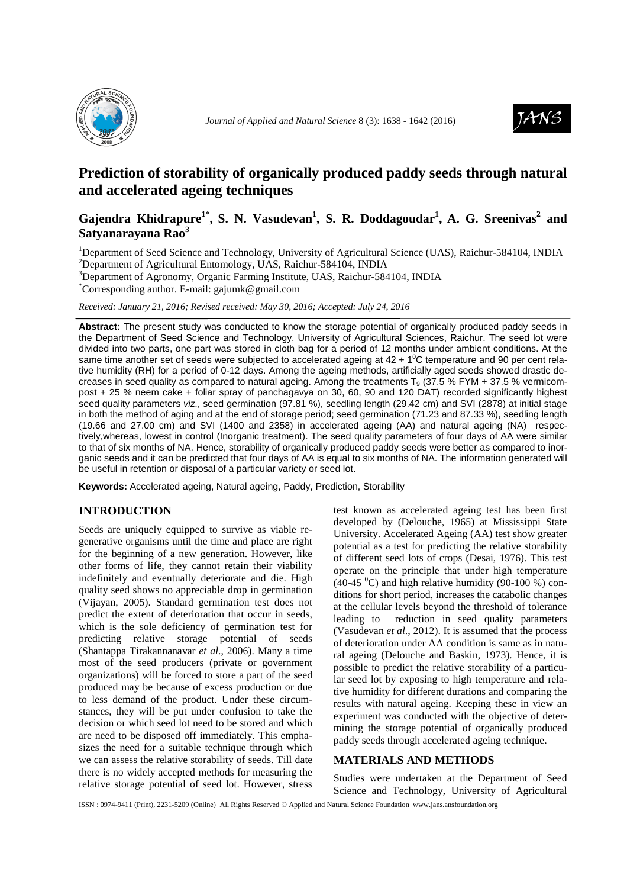



# **Prediction of storability of organically produced paddy seeds through natural and accelerated ageing techniques**

# **Gajendra Khidrapure1\* , S. N. Vasudevan<sup>1</sup> , S. R. Doddagoudar<sup>1</sup> , A. G. Sreenivas<sup>2</sup> and Satyanarayana Rao<sup>3</sup>**

<sup>1</sup>Department of Seed Science and Technology, University of Agricultural Science (UAS), Raichur-584104, INDIA <sup>2</sup>Department of Agricultural Entomology, UAS, Raichur-584104, INDIA

<sup>3</sup>Department of Agronomy, Organic Farming Institute, UAS, Raichur-584104, INDIA

\*Corresponding author. E-mail: gajumk@gmail.com

*Received: January 21, 2016; Revised received: May 30, 2016; Accepted: July 24, 2016*

**Abstract:** The present study was conducted to know the storage potential of organically produced paddy seeds in the Department of Seed Science and Technology, University of Agricultural Sciences, Raichur. The seed lot were divided into two parts, one part was stored in cloth bag for a period of 12 months under ambient conditions. At the same time another set of seeds were subjected to accelerated ageing at  $42 + 1^{\circ}$ C temperature and 90 per cent relative humidity (RH) for a period of 0-12 days. Among the ageing methods, artificially aged seeds showed drastic decreases in seed quality as compared to natural ageing. Among the treatments  $T<sub>9</sub>$  (37.5 % FYM + 37.5 % vermicompost + 25 % neem cake + foliar spray of panchagavya on 30, 60, 90 and 120 DAT) recorded significantly highest seed quality parameters viz., seed germination (97.81 %), seedling length (29.42 cm) and SVI (2878) at initial stage in both the method of aging and at the end of storage period; seed germination (71.23 and 87.33 %), seedling length (19.66 and 27.00 cm) and SVI (1400 and 2358) in accelerated ageing (AA) and natural ageing (NA) respectively,whereas, lowest in control (Inorganic treatment). The seed quality parameters of four days of AA were similar to that of six months of NA. Hence, storability of organically produced paddy seeds were better as compared to inorganic seeds and it can be predicted that four days of AA is equal to six months of NA. The information generated will be useful in retention or disposal of a particular variety or seed lot.

**Keywords:** Accelerated ageing, Natural ageing, Paddy, Prediction, Storability

#### **INTRODUCTION**

Seeds are uniquely equipped to survive as viable regenerative organisms until the time and place are right for the beginning of a new generation. However, like other forms of life, they cannot retain their viability indefinitely and eventually deteriorate and die. High quality seed shows no appreciable drop in germination (Vijayan, 2005). Standard germination test does not predict the extent of deterioration that occur in seeds, which is the sole deficiency of germination test for predicting relative storage potential of seeds (Shantappa Tirakannanavar *et al*., 2006). Many a time most of the seed producers (private or government organizations) will be forced to store a part of the seed produced may be because of excess production or due to less demand of the product. Under these circumstances, they will be put under confusion to take the decision or which seed lot need to be stored and which are need to be disposed off immediately. This emphasizes the need for a suitable technique through which we can assess the relative storability of seeds. Till date there is no widely accepted methods for measuring the relative storage potential of seed lot. However, stress

test known as accelerated ageing test has been first developed by (Delouche, 1965) at Mississippi State University. Accelerated Ageing (AA) test show greater potential as a test for predicting the relative storability of different seed lots of crops (Desai, 1976). This test operate on the principle that under high temperature  $(40-45 \degree C)$  and high relative humidity (90-100 %) conditions for short period, increases the catabolic changes at the cellular levels beyond the threshold of tolerance leading to reduction in seed quality parameters (Vasudevan *et al*., 2012). It is assumed that the process of deterioration under AA condition is same as in natural ageing (Delouche and Baskin, 1973). Hence, it is possible to predict the relative storability of a particular seed lot by exposing to high temperature and relative humidity for different durations and comparing the results with natural ageing. Keeping these in view an experiment was conducted with the objective of determining the storage potential of organically produced paddy seeds through accelerated ageing technique.

### **MATERIALS AND METHODS**

Studies were undertaken at the Department of Seed Science and Technology, University of Agricultural

ISSN : 0974-9411 (Print), 2231-5209 (Online) All Rights Reserved © Applied and Natural Science Foundation www.jans.ansfoundation.org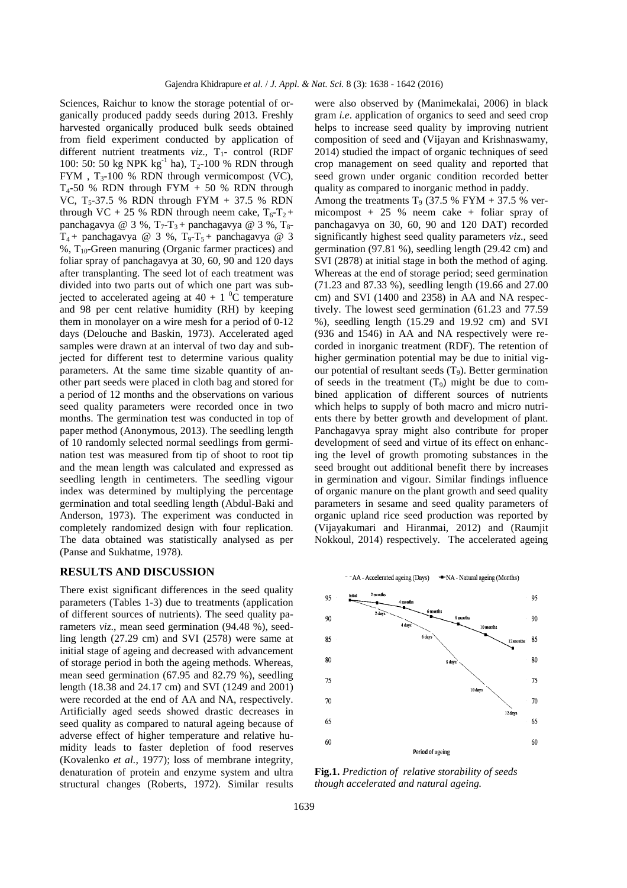Sciences, Raichur to know the storage potential of organically produced paddy seeds during 2013. Freshly harvested organically produced bulk seeds obtained from field experiment conducted by application of different nutrient treatments *viz.*, T<sub>1</sub>- control (RDF 100: 50: 50 kg NPK  $kg^{-1}$  ha), T<sub>2</sub>-100 % RDN through FYM,  $T_3$ -100 % RDN through vermicompost (VC),  $T_4$ -50 % RDN through FYM + 50 % RDN through VC,  $T_5-37.5$  % RDN through FYM + 37.5 % RDN through VC + 25 % RDN through neem cake,  $T_6 - T_2$  + panchagavya @ 3 %,  $T_7$ - $T_3$ + panchagavya @ 3 %,  $T_8$ - $T_4$  + panchagavya @ 3 %,  $T_9$ - $T_5$  + panchagavya @ 3  $%$ , T<sub>10</sub>-Green manuring (Organic farmer practices) and foliar spray of panchagavya at 30, 60, 90 and 120 days after transplanting. The seed lot of each treatment was divided into two parts out of which one part was subjected to accelerated ageing at  $40 + 1$  <sup>0</sup>C temperature and 98 per cent relative humidity (RH) by keeping them in monolayer on a wire mesh for a period of 0-12 days (Delouche and Baskin, 1973). Accelerated aged samples were drawn at an interval of two day and subjected for different test to determine various quality parameters. At the same time sizable quantity of another part seeds were placed in cloth bag and stored for a period of 12 months and the observations on various seed quality parameters were recorded once in two months. The germination test was conducted in top of paper method (Anonymous, 2013). The seedling length of 10 randomly selected normal seedlings from germination test was measured from tip of shoot to root tip and the mean length was calculated and expressed as seedling length in centimeters. The seedling vigour index was determined by multiplying the percentage germination and total seedling length (Abdul-Baki and Anderson, 1973). The experiment was conducted in completely randomized design with four replication. The data obtained was statistically analysed as per (Panse and Sukhatme, 1978).

# **RESULTS AND DISCUSSION**

There exist significant differences in the seed quality parameters (Tables 1-3) due to treatments (application of different sources of nutrients). The seed quality parameters *viz*., mean seed germination (94.48 %), seedling length (27.29 cm) and SVI (2578) were same at initial stage of ageing and decreased with advancement of storage period in both the ageing methods. Whereas, mean seed germination (67.95 and 82.79 %), seedling length (18.38 and 24.17 cm) and SVI (1249 and 2001) were recorded at the end of AA and NA, respectively. Artificially aged seeds showed drastic decreases in seed quality as compared to natural ageing because of adverse effect of higher temperature and relative humidity leads to faster depletion of food reserves (Kovalenko *et al.*, 1977); loss of membrane integrity, denaturation of protein and enzyme system and ultra structural changes (Roberts, 1972). Similar results

were also observed by (Manimekalai, 2006) in black gram *i.e*. application of organics to seed and seed crop helps to increase seed quality by improving nutrient composition of seed and (Vijayan and Krishnaswamy, 2014) studied the impact of organic techniques of seed crop management on seed quality and reported that seed grown under organic condition recorded better quality as compared to inorganic method in paddy.

Among the treatments  $T_9$  (37.5 % FYM + 37.5 % vermicompost  $+ 25 %$  neem cake  $+ 6$ liar spray of panchagavya on 30, 60, 90 and 120 DAT) recorded significantly highest seed quality parameters *viz*., seed germination (97.81 %), seedling length (29.42 cm) and SVI (2878) at initial stage in both the method of aging. Whereas at the end of storage period; seed germination (71.23 and 87.33 %), seedling length (19.66 and 27.00 cm) and SVI (1400 and 2358) in AA and NA respectively. The lowest seed germination (61.23 and 77.59 %), seedling length (15.29 and 19.92 cm) and SVI (936 and 1546) in AA and NA respectively were recorded in inorganic treatment (RDF). The retention of higher germination potential may be due to initial vigour potential of resultant seeds  $(T_9)$ . Better germination of seeds in the treatment  $(T_9)$  might be due to combined application of different sources of nutrients which helps to supply of both macro and micro nutrients there by better growth and development of plant. Panchagavya spray might also contribute for proper development of seed and virtue of its effect on enhancing the level of growth promoting substances in the seed brought out additional benefit there by increases in germination and vigour. Similar findings influence of organic manure on the plant growth and seed quality parameters in sesame and seed quality parameters of organic upland rice seed production was reported by (Vijayakumari and Hiranmai, 2012) and (Raumjit Nokkoul, 2014) respectively. The accelerated ageing



**Fig.1.** *Prediction of relative storability of seeds though accelerated and natural ageing.*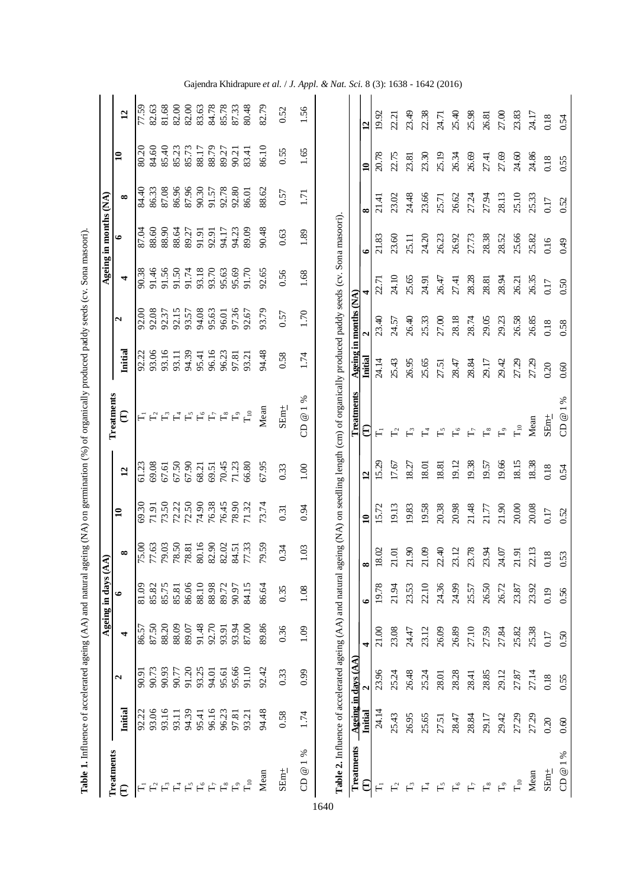|                                                                                                                |                |                     |                | Ageing in days | (AA)     |               |                 |                                                                                                                                                       |         |                       |       | Ageing in months (NA) |          |                         |                 |
|----------------------------------------------------------------------------------------------------------------|----------------|---------------------|----------------|----------------|----------|---------------|-----------------|-------------------------------------------------------------------------------------------------------------------------------------------------------|---------|-----------------------|-------|-----------------------|----------|-------------------------|-----------------|
| Treatments                                                                                                     |                |                     |                |                |          |               |                 | Treatments                                                                                                                                            |         |                       |       |                       |          |                         |                 |
| €                                                                                                              | Initial        | N                   | 4              | $\bullet$      | $\infty$ | $\mathbf{10}$ | $\overline{12}$ | €                                                                                                                                                     | Initial | $\mathbf{a}$          | 4     | $\bullet$             | $\infty$ | $\mathbf{a}$            | $\mathbf{r}$    |
| $\overline{\mathbf{H}}$                                                                                        | 92.22          | 90.91               | 86.57          | 81.09          | 75.00    | 69.30         | 61.23           | $F_1$                                                                                                                                                 | 92.22   | 92.00                 | 90.38 | 87.04                 | 84.40    | 80.20                   | 77.59           |
| $\Gamma_2$                                                                                                     | 93.06          | 90.73               | 87.50          | 85.82          | 77.63    | 71.91         | 69.08           |                                                                                                                                                       | 93.06   | 92.08                 | 91.46 | 88.60                 | 86.33    | 84.60                   | 82.63           |
|                                                                                                                | 93.16          | 90.93               |                | 85.75          | 79.03    | 73.50         | 67.61           | $\mathbb{E}_3$                                                                                                                                        | 93.16   | 92.37                 | 91.56 | 88.90                 | 87.08    | 85.40                   | 81.68           |
|                                                                                                                | 93.11          | 90.77               | 88.20<br>88.09 | 85.81          | 78.50    | 72.22         | 67.50           | $\mathsf{L}_4$                                                                                                                                        | 93.11   | 92.15                 | 91.50 | 88.64                 | 86.96    | 85.23                   | 82.00           |
|                                                                                                                | 94.39          | 91.20               | 89.07          | 86.06          | 78.81    | 72.50         | 67.90           |                                                                                                                                                       | 94.39   | 93.57                 | 91.74 | 89.27                 | 87.96    | 85.73                   | 82.00           |
|                                                                                                                | 95.41          | 93.25               | 91.48          | 88.10          | 80.16    | 74.90         | 68.21           | $F^{\circ}$                                                                                                                                           | 95.41   | 94.08                 | 93.18 | 91.91                 | 90.30    | 88.17                   | 83.63           |
| $F \overset{\alpha}{\vdash} F \overset{\alpha}{\vdash} F \overset{\beta}{\vdash} F \overset{\gamma}{\vdash} s$ | 96.16          | 94.01               | 92.70          | 88.98          | 82.90    | 76.38         | 69.51           | $\Gamma_7$                                                                                                                                            | 96.16   | 95.63                 | 93.70 | 92.91                 | 91.57    | 88.79                   | 84.78           |
|                                                                                                                | 96.23          | 95.61               | 93.91          | 89.72          | 82.02    | 76.45         | 70.45           | $\mathsf{L}^{\infty}_{\infty}$                                                                                                                        | 96.23   | 96.01                 | 95.63 | 94.17                 | 92.78    | 89.27                   | 85.78           |
| $F_9$                                                                                                          | 97.81          | 95.66               | 93.94          | 90.97          | 84.51    | 78.90         | 71.23           | $F_9$                                                                                                                                                 | 97.81   | 97.36                 | 95.69 | 94.23                 | 92.80    | 90.21                   | 87.33           |
| $\Gamma_{10}$                                                                                                  | 93.21          | 91.10               | 87.00          | 84.15          | 77.33    | 71.32         | 66.80           | $\Gamma_{10}$                                                                                                                                         | 93.21   | 92.67                 | 91.70 | 89.09                 | 86.01    | 83.41                   | 80.48           |
| Mean                                                                                                           | 94.48          | 92.42               | 89.86          | 86.64          | 79.59    | 73.74         | 67.95           | Mean                                                                                                                                                  | 94.48   | 93.79                 | 92.65 | 90.48                 | 88.62    | 86.10                   | 82.79           |
| $SEm_{\pm}$                                                                                                    | 0.58           | 0.33                | 0.36           | 0.35           | 0.34     | 0.31          | 0.33            | $SEm_{\pm}$                                                                                                                                           | 0.58    | 0.57                  | 0.56  | 0.63                  | 0.57     | 0.55                    | 0.52            |
| ℅<br>$\overline{\phantom{0}}$<br>$^{\circledR}$<br>8                                                           | 1.74           | 6.99                | 1.09           | 1.08           | 1.03     | 0.94          | $1.00\,$        | $\%$<br>CD $@1$                                                                                                                                       | 1.74    | 1.70                  | 1.68  | 1.89                  | 1.71     | 1.65                    | 1.56            |
|                                                                                                                |                |                     |                |                |          |               |                 | Table 2. Influence of accelerated ageing (AA) and natural ageing (NA) on seedling length (cm) of organically produced paddy seeds (cv. Sona masoori). |         |                       |       |                       |          |                         |                 |
| Treatments                                                                                                     |                | Ageing in days (AA) |                |                |          |               |                 | Treatments                                                                                                                                            |         | Ageing in months (NA) |       |                       |          |                         |                 |
| €                                                                                                              | <b>Initial</b> |                     | 4              | $\bullet$      | $\infty$ | $\mathbf{10}$ | $\mathbf{r}$    | €                                                                                                                                                     | Initial |                       | 4     | $\bullet$             | $\infty$ | $\overline{\mathbf{u}}$ | $\overline{12}$ |
| $\overline{H}$                                                                                                 | 24.14          | 23.96               | 21.00          | 19.78          | 18.02    | 15.72         | 5.29            | Ε                                                                                                                                                     | 24.14   | 23.40                 | 22.71 | 21.83                 | 21.41    | 20.78                   | 19.92           |
| $\mathsf{F}_2$                                                                                                 | 25.43          | 25.24               | 23.08          | 21.94          | 21.01    | 19.13         | 17.67           | $\mathsf{L}^2$                                                                                                                                        | 25.43   | 24.57                 | 24.10 | 23.60                 | 23.02    | 22.75                   | 22.21           |
| $\mathsf{F}_3$                                                                                                 | 26.95          | 26.48               | 24.47          | 23.53          | 21.90    | 19.83         | 18.27           | $F_3$                                                                                                                                                 | 26.95   | 26.40                 | 25.65 | 25.11                 | 24.48    | 23.81                   | 23.49           |
| $\mathbb{H}$                                                                                                   | 25.65          | 25.24               | 23.12          | 22.10          | 21.09    | 19.58         | 18.01           | $\mathbb{H}$                                                                                                                                          | 25.65   | 25.33                 | 24.91 | 24.20                 | 23.66    | 23.30                   | 22.38           |
| $F_{\rm o}$                                                                                                    | 27.51          | 28.01               | 26.09          | 24.36          | 22.40    | 20.38         | 18.81           | $F_{2}$                                                                                                                                               | 27.51   | 27.00                 | 26.47 | 26.23                 | 25.71    | 25.19                   | 24.71           |
| $\mathbb{F}_{\circ}$                                                                                           | 28.47          | 28.28               | 26.89          | 24.99          | 23.12    | 20.98         | 19.12           | $\Gamma_{\!o}$                                                                                                                                        | 28.47   | 28.18                 | 27.41 | 26.92                 | 26.62    | 26.34                   | 25.40           |
| $\Gamma$                                                                                                       | 28.84          | 28.41               | 27.10          | 25.57          | 23.78    | 21.48         | 19.38           | $F_7$                                                                                                                                                 | 28.84   | 28.74                 | 28.28 | 27.73                 | 27.24    | 26.69                   | 25.98           |
| $\mathop{\mathsf{L}}\nolimits^{\infty}$                                                                        | 29.17          | 28.85               | 27.59          | 26.50          | 23.94    | 21.77         | 19.57           | $E^{\infty}_{\infty}$                                                                                                                                 | 29.17   | 29.05                 | 28.81 | 28.38                 | 27.94    | 27.41                   | 26.81           |
| $F_9$                                                                                                          | 29.42          | 29.12               | 27.84          | 26.72          | 24.07    | 21.90         | 19.66           | $F_{\rm 9}$                                                                                                                                           | 29.42   | 29.23                 | 28.94 | 28.52                 | 28.13    | 27.69                   | 27.00           |
| $T_{10}$                                                                                                       | 27.29          | 27.87               | 25.82          | 23.87          | 21.91    | 20.00         | 18.15           | $\Gamma_{10}$                                                                                                                                         | 27.29   | 26.58                 | 26.21 | 25.66                 | 25.10    | 24.60                   | 23.83           |
| Mean                                                                                                           | 27.29          | 27.14               | 25.38          | 23.92          | 22.13    | 20.08         | 18.38           | Mean                                                                                                                                                  | 27.29   | 26.85                 | 26.35 | 25.82                 | 25.33    | 24.86                   | 24.17           |
| $SEm_{\pm}$                                                                                                    | 0.20           | 0.18                | 0.17           | 0.19           | 0.18     | 0.17          | 0.18            | $SEnn\pm$                                                                                                                                             | 0.20    | 0.18                  | 0.17  | 0.16                  | 0.17     | 0.18                    | 0.18            |
| $\%$<br>CD @                                                                                                   | 0.60           | 0.55                | 0.50           | 0.56           | 0.53     | 0.52          | 0.54            | CD@1%                                                                                                                                                 | 0.60    | 0.58                  | 0.50  | 649                   | 0.52     | 0.55                    | 0.54            |

**Table 1.** Influence of accelerated ageing (AA) and natural ageing (NA) on germination (%) of organically produced paddy seeds (cv. Sona masoori). Table 1. Influence of accelerated ageing (AA) and natural ageing (NA) on germination (%) of organically produced paddy seeds (cv. Sona masoori). Gajendra Khidrapure *et al.* / *J. Appl. & Nat. Sci.* 8 (3): 1638 - 1642 (2016)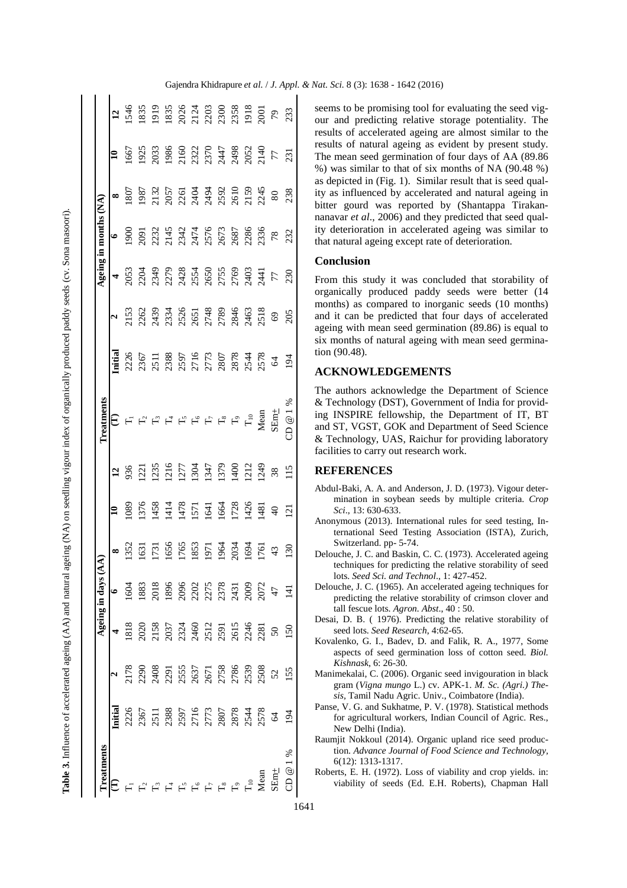| l<br>i                                                               |
|----------------------------------------------------------------------|
|                                                                      |
| I                                                                    |
| Ï                                                                    |
| l<br>ł                                                               |
|                                                                      |
|                                                                      |
|                                                                      |
|                                                                      |
|                                                                      |
|                                                                      |
| i                                                                    |
|                                                                      |
|                                                                      |
| l                                                                    |
| i                                                                    |
| l                                                                    |
| i                                                                    |
| l<br>$\overline{1}$                                                  |
| ֖֖֖֖֪ׅ֪ׅ֪ׅ֪ׅ֪ׅ֪ׅ֪ׅׅ֪֪ׅ֚֚֚֚֚֚֚֚֚֚֚֚֚֚֚֚֚֬֝֬֓֞֬֓֬                      |
|                                                                      |
| l                                                                    |
|                                                                      |
|                                                                      |
|                                                                      |
| ۱                                                                    |
| j<br>ì                                                               |
| ١<br>l                                                               |
| i                                                                    |
|                                                                      |
| Ş                                                                    |
|                                                                      |
|                                                                      |
| j                                                                    |
| ׇ֕֕                                                                  |
| l<br>j                                                               |
| l                                                                    |
| j                                                                    |
| i                                                                    |
| ï                                                                    |
|                                                                      |
| <b>.</b>                                                             |
|                                                                      |
| i                                                                    |
| í                                                                    |
| j                                                                    |
|                                                                      |
| l                                                                    |
| ֖֖֖ׅ֖ׅ֪֪ׅ֖ׅ֖ׅ֖ׅ֚֚֚֚֚֚֚֚֚֚֚֚֚֚֚֚֚֚֚֚֚֚֚֚֚֚֡֝֝֝֝֝֝֟                    |
|                                                                      |
| i                                                                    |
|                                                                      |
| l                                                                    |
| ċ                                                                    |
|                                                                      |
| ١<br>֖֖֖֖֖ׅׅ֖֖֧ׅ֪ׅ֖֧֪֪ׅ֧֚֚֚֚֚֚֚֚֚֚֚֚֚֚֚֚֚֚֚֚֚֚֚֚֚֚֚֚֚֚֚֚֚֚֬֝֡֡֓֞֝֝֓֞ |
| l                                                                    |
| l                                                                    |
| ֧֦֦֦֧֦֦֖֖֚֚֚֚֬֝֝֬֝֬֝֬֝֬                                              |
|                                                                      |
|                                                                      |
| ł                                                                    |
|                                                                      |
|                                                                      |
| l<br>١                                                               |
|                                                                      |
| Ì                                                                    |
| l                                                                    |
|                                                                      |
|                                                                      |
|                                                                      |
|                                                                      |
| l                                                                    |
|                                                                      |
| l<br>1                                                               |
| i                                                                    |
|                                                                      |
| l<br>֘֝֕֕                                                            |
| ţ                                                                    |
| ۱                                                                    |
| ¢<br>$\overline{ }$<br>֕<br>l<br>l                                   |
| ¢<br>Ŝ                                                               |
| j                                                                    |
|                                                                      |
| iter<br>Ş                                                            |
|                                                                      |
|                                                                      |
|                                                                      |
|                                                                      |
|                                                                      |
|                                                                      |
|                                                                      |
|                                                                      |
|                                                                      |
|                                                                      |
| l                                                                    |
|                                                                      |
|                                                                      |
|                                                                      |
|                                                                      |
|                                                                      |
|                                                                      |
| í<br>l                                                               |

 $\mathbf{r}$  $\overline{\phantom{a}}$ 

| reatments                               |                                                                                                                          |                  | geing in days                                                                                                                                                                                                                                                                                                               |                                        |                |                                                            | <b>Treatments</b>                |        |                                                                                                                                                                                                                                                                                                                                                                                                                                                                | geing i                                                                                                                                                                                                                                                                                                                                                                                                                             |                                                                                                                                                                                                                                                                                                               |                                                                                                                                                                                                                                                                                                               |     |                                              |
|-----------------------------------------|--------------------------------------------------------------------------------------------------------------------------|------------------|-----------------------------------------------------------------------------------------------------------------------------------------------------------------------------------------------------------------------------------------------------------------------------------------------------------------------------|----------------------------------------|----------------|------------------------------------------------------------|----------------------------------|--------|----------------------------------------------------------------------------------------------------------------------------------------------------------------------------------------------------------------------------------------------------------------------------------------------------------------------------------------------------------------------------------------------------------------------------------------------------------------|-------------------------------------------------------------------------------------------------------------------------------------------------------------------------------------------------------------------------------------------------------------------------------------------------------------------------------------------------------------------------------------------------------------------------------------|---------------------------------------------------------------------------------------------------------------------------------------------------------------------------------------------------------------------------------------------------------------------------------------------------------------|---------------------------------------------------------------------------------------------------------------------------------------------------------------------------------------------------------------------------------------------------------------------------------------------------------------|-----|----------------------------------------------|
|                                         |                                                                                                                          |                  |                                                                                                                                                                                                                                                                                                                             |                                        |                | $\overline{1}$                                             | €                                | nitial |                                                                                                                                                                                                                                                                                                                                                                                                                                                                |                                                                                                                                                                                                                                                                                                                                                                                                                                     |                                                                                                                                                                                                                                                                                                               | $\infty$                                                                                                                                                                                                                                                                                                      |     |                                              |
|                                         |                                                                                                                          |                  |                                                                                                                                                                                                                                                                                                                             |                                        | .089           | 936                                                        |                                  |        | $\begin{array}{c} \textbf{a} \\ \textbf{a} \\ \textbf{b} \\ \textbf{c} \\ \textbf{d} \\ \textbf{c} \\ \textbf{d} \\ \textbf{e} \\ \textbf{f} \\ \textbf{c} \\ \textbf{e} \\ \textbf{f} \\ \textbf{c} \\ \textbf{c} \\ \textbf{d} \\ \textbf{e} \\ \textbf{f} \\ \textbf{e} \\ \textbf{f} \\ \textbf{e} \\ \textbf{f} \\ \textbf{e} \\ \textbf{f} \\ \textbf{e} \\ \textbf{f} \\ \textbf{e} \\ \textbf{f} \\ \textbf{e} \\ \textbf{f} \\ \textbf{e} \\ \textbf$ |                                                                                                                                                                                                                                                                                                                                                                                                                                     | $\begin{array}{l} 1900 \\ 2031 \\ 2131 \\ 2131 \\ 2141 \\ 2151 \\ 2151 \\ 2161 \\ 2171 \\ 2181 \\ 2191 \\ 2191 \\ 2191 \\ 2191 \\ 2191 \\ 2191 \\ 2191 \\ 2191 \\ 2191 \\ 2191 \\ 2191 \\ 2191 \\ 2191 \\ 2191 \\ 2191 \\ 2191 \\ 2191 \\ 2191 \\ 2191 \\ 2191 \\ 2191 \\ 2191 \\ 2191 \\ 2191 \\ 2191 \\ 21$ | 180                                                                                                                                                                                                                                                                                                           |     | $\frac{13}{150}$                             |
|                                         |                                                                                                                          |                  | 1883                                                                                                                                                                                                                                                                                                                        |                                        |                |                                                            |                                  |        |                                                                                                                                                                                                                                                                                                                                                                                                                                                                |                                                                                                                                                                                                                                                                                                                                                                                                                                     |                                                                                                                                                                                                                                                                                                               |                                                                                                                                                                                                                                                                                                               |     | 1835                                         |
|                                         |                                                                                                                          |                  |                                                                                                                                                                                                                                                                                                                             | 173                                    |                |                                                            |                                  |        |                                                                                                                                                                                                                                                                                                                                                                                                                                                                |                                                                                                                                                                                                                                                                                                                                                                                                                                     |                                                                                                                                                                                                                                                                                                               |                                                                                                                                                                                                                                                                                                               |     | 1919                                         |
|                                         | $\begin{array}{c} 2290 \\ 2408 \\ 2405 \\ 255 \\ 2671 \\ 2671 \\ 2758 \\ 2786 \\ 2780 \\ 2398 \\ 2508 \\ 52 \end{array}$ |                  |                                                                                                                                                                                                                                                                                                                             |                                        |                | 121<br>1235<br>1210 1347<br>1347 1340<br>1340 1212<br>1248 |                                  |        |                                                                                                                                                                                                                                                                                                                                                                                                                                                                |                                                                                                                                                                                                                                                                                                                                                                                                                                     |                                                                                                                                                                                                                                                                                                               | $\begin{array}{l} 1987 \\ 1971 \\ 2182 \\ 3195 \\ 4394 \\ 5392 \\ 5393 \\ 5394 \\ 5392 \\ 5394 \\ 5394 \\ 5394 \\ 5394 \\ 5394 \\ 5394 \\ 5394 \\ 5394 \\ 5394 \\ 5394 \\ 5394 \\ 5394 \\ 5394 \\ 5394 \\ 5394 \\ 5394 \\ 5394 \\ 5394 \\ 5394 \\ 5394 \\ 5394 \\ 5394 \\ 5394 \\ 5394 \\ 5394 \\ 5394 \\ 53$ |     | 1835                                         |
|                                         |                                                                                                                          |                  |                                                                                                                                                                                                                                                                                                                             |                                        |                |                                                            | $\mathbb{L}_2$                   |        |                                                                                                                                                                                                                                                                                                                                                                                                                                                                |                                                                                                                                                                                                                                                                                                                                                                                                                                     |                                                                                                                                                                                                                                                                                                               |                                                                                                                                                                                                                                                                                                               |     |                                              |
|                                         |                                                                                                                          |                  |                                                                                                                                                                                                                                                                                                                             |                                        |                |                                                            | $\mathbf{L}^{\circ}$             |        |                                                                                                                                                                                                                                                                                                                                                                                                                                                                |                                                                                                                                                                                                                                                                                                                                                                                                                                     |                                                                                                                                                                                                                                                                                                               |                                                                                                                                                                                                                                                                                                               |     |                                              |
|                                         |                                                                                                                          |                  |                                                                                                                                                                                                                                                                                                                             |                                        |                |                                                            |                                  |        |                                                                                                                                                                                                                                                                                                                                                                                                                                                                |                                                                                                                                                                                                                                                                                                                                                                                                                                     |                                                                                                                                                                                                                                                                                                               |                                                                                                                                                                                                                                                                                                               |     |                                              |
|                                         |                                                                                                                          |                  |                                                                                                                                                                                                                                                                                                                             |                                        |                |                                                            | $\Gamma$ is $\Gamma$ is $\Gamma$ |        |                                                                                                                                                                                                                                                                                                                                                                                                                                                                |                                                                                                                                                                                                                                                                                                                                                                                                                                     |                                                                                                                                                                                                                                                                                                               |                                                                                                                                                                                                                                                                                                               |     |                                              |
|                                         |                                                                                                                          |                  |                                                                                                                                                                                                                                                                                                                             |                                        |                |                                                            |                                  |        |                                                                                                                                                                                                                                                                                                                                                                                                                                                                |                                                                                                                                                                                                                                                                                                                                                                                                                                     |                                                                                                                                                                                                                                                                                                               |                                                                                                                                                                                                                                                                                                               |     |                                              |
|                                         |                                                                                                                          |                  |                                                                                                                                                                                                                                                                                                                             | 1656<br>1763<br>1961 1964<br>1961 1961 |                |                                                            |                                  |        |                                                                                                                                                                                                                                                                                                                                                                                                                                                                |                                                                                                                                                                                                                                                                                                                                                                                                                                     |                                                                                                                                                                                                                                                                                                               |                                                                                                                                                                                                                                                                                                               |     | 2026<br>2124<br>2203<br>2358<br>1918<br>1918 |
|                                         |                                                                                                                          |                  |                                                                                                                                                                                                                                                                                                                             |                                        |                |                                                            | Mean                             |        |                                                                                                                                                                                                                                                                                                                                                                                                                                                                |                                                                                                                                                                                                                                                                                                                                                                                                                                     |                                                                                                                                                                                                                                                                                                               |                                                                                                                                                                                                                                                                                                               |     |                                              |
| 도도모모모모 = X<br>만드로모모모 = X<br>E 도로모모드 = X |                                                                                                                          |                  | $\begin{array}{l} 218 \\ 239 \\ 240 \\ 250 \\ 260 \\ 271 \\ 281 \\ 213 \\ 231 \\ 242 \\ 250 \\ 261 \\ 271 \\ 282 \\ 291 \\ 213 \\ 232 \\ 233 \\ 247 \\ 250 \\ 271 \\ 291 \\ 232 \\ 233 \\ 247 \\ 250 \\ 271 \\ 292 \\ 233 \\ 234 \\ 235 \\ 236 \\ 247 \\ 250 \\ 250 \\ 272 \\ 273 \\ 284 \\ 293 \\ 294 \\ 295 \\ 296 \\ 29$ | 43                                     | $\Theta$       |                                                            | $SEm+$                           |        |                                                                                                                                                                                                                                                                                                                                                                                                                                                                | $\begin{array}{cccccccccc} \textbf{4} & \textbf{5} & \textbf{5} & \textbf{6} & \textbf{8} & \textbf{5} & \textbf{5} & \textbf{6} & \textbf{6} & \textbf{6} & \textbf{7} & \textbf{8} & \textbf{8} & \textbf{9} & \textbf{1} & \textbf{1} & \textbf{1} & \textbf{1} & \textbf{1} & \textbf{1} & \textbf{1} & \textbf{1} & \textbf{1} & \textbf{1} & \textbf{1} & \textbf{1} & \textbf{1} & \textbf{1} & \textbf{1} & \textbf{1} & \$ |                                                                                                                                                                                                                                                                                                               |                                                                                                                                                                                                                                                                                                               |     | $\epsilon_L$                                 |
| CD @ 1 %                                | 155                                                                                                                      | $\overline{150}$ | $\overline{141}$                                                                                                                                                                                                                                                                                                            | 130                                    | $\overline{2}$ | 115                                                        | D @ 1                            |        | 205                                                                                                                                                                                                                                                                                                                                                                                                                                                            |                                                                                                                                                                                                                                                                                                                                                                                                                                     | 232                                                                                                                                                                                                                                                                                                           | 238                                                                                                                                                                                                                                                                                                           | 231 | 233                                          |

seems to be promising tool for evaluating the seed vigour and predicting relative storage potentiality. The results of accelerated ageing are almost similar to the results of natural ageing as evident by present study. The mean seed germination of four days of AA (89.86 %) was similar to that of six months of NA (90.48 %) as depicted in (Fig. 1). Similar result that is seed quality as influenced by accelerated and natural ageing in bitter gourd was reported by (Shantappa Tirakannanavar *et al*., 2006) and they predicted that seed quality deterioration in accelerated ageing was similar to that natural ageing except rate of deterioration.

# **Conclusion**

From this study it was concluded that storability of organically produced paddy seeds were better (14 months) as compared to inorganic seeds (10 months) and it can be predicted that four days of accelerated ageing with mean seed germination (89.86) is equal to six months of natural ageing with mean seed germination (90.48).

## **ACKNOWLEDGEMENTS**

The authors acknowledge the Department of Science & Technology (DST), Government of India for providing INSPIRE fellowship, the Department of IT, BT and ST, VGST, GOK and Department of Seed Science & Technology, UAS, Raichur for providing laboratory facilities to carry out research work.

## **REFERENCES**

- Abdul-Baki, A. A. and Anderson, J. D. (1973). Vigour determination in soybean seeds by multiple criteria. *Crop Sci*., 13: 630-633.
- Anonymous (2013). International rules for seed testing, International Seed Testing Association (ISTA), Zurich, Switzerland. pp- 5-74.
- Delouche, J. C. and Baskin, C. C. (1973). Accelerated ageing techniques for predicting the relative storability of seed lots. *Seed Sci. and Technol*., 1: 427-452.
- Delouche, J. C. (1965). An accelerated ageing techniques for predicting the relative storability of crimson clover and tall fescue lots. *Agron. Abst*., 40 : 50.
- Desai, D. B. ( 1976). Predicting the relative storability of seed lots. *Seed Research*, 4:62-65.
- Kovalenko, G. I., Badev, D. and Falik, R. A., 1977, Some aspects of seed germination loss of cotton seed. *Biol. Kishnask*, 6: 26-30.
- Manimekalai, C. (2006). Organic seed invigouration in black gram (*Vigna mungo* L.) cv. APK-1. *M. Sc. (Agri.) Thesis,* Tamil Nadu Agric. Univ., Coimbatore (India).
- Panse, V. G. and Sukhatme, P. V. (1978). Statistical methods for agricultural workers, Indian Council of Agric. Res., New Delhi (India).
- Raumjit Nokkoul (2014). Organic upland rice seed production. *Advance Journal of Food Science and Technology,* 6(12): 1313-1317.
- Roberts, E. H. (1972). Loss of viability and crop yields. in: viability of seeds (Ed. E.H. Roberts), Chapman Hall